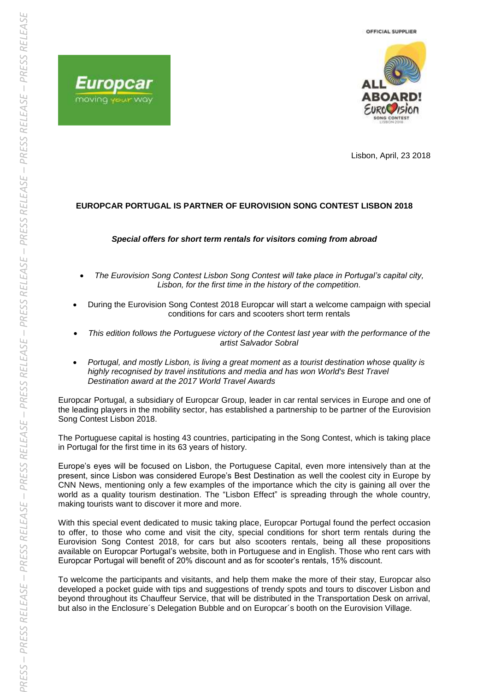



Lisbon, April, 23 2018

## **EUROPCAR PORTUGAL IS PARTNER OF EUROVISION SONG CONTEST LISBON 2018**

## *Special offers for short term rentals for visitors coming from abroad*

- *The Eurovision Song Contest Lisbon Song Contest will take place in Portugal's capital city, Lisbon, for the first time in the history of the competition.*
- During the Eurovision Song Contest 2018 Europcar will start a welcome campaign with special conditions for cars and scooters short term rentals
- *This edition follows the Portuguese victory of the Contest last year with the performance of the artist Salvador Sobral*
- *Portugal, and mostly Lisbon, is living a great moment as a tourist destination whose quality is*  highly recognised by travel institutions and media and has won World's Best Travel *Destination award at the 2017 World Travel Awards*

Europcar Portugal, a subsidiary of Europcar Group, leader in car rental services in Europe and one of the leading players in the mobility sector, has established a partnership to be partner of the Eurovision Song Contest Lisbon 2018.

The Portuguese capital is hosting 43 countries, participating in the Song Contest, which is taking place in Portugal for the first time in its 63 years of history.

Europe's eyes will be focused on Lisbon, the Portuguese Capital, even more intensively than at the present, since Lisbon was considered Europe's Best Destination as well the coolest city in Europe by CNN News, mentioning only a few examples of the importance which the city is gaining all over the world as a quality tourism destination. The "Lisbon Effect" is spreading through the whole country, making tourists want to discover it more and more.

With this special event dedicated to music taking place, Europcar Portugal found the perfect occasion to offer, to those who come and visit the city, special conditions for short term rentals during the Eurovision Song Contest 2018, for cars but also scooters rentals, being all these propositions available on Europcar Portugal's website, both in Portuguese and in English. Those who rent cars with Europcar Portugal will benefit of 20% discount and as for scooter's rentals, 15% discount.

To welcome the participants and visitants, and help them make the more of their stay, Europcar also developed a pocket guide with tips and suggestions of trendy spots and tours to discover Lisbon and beyond throughout its Chauffeur Service, that will be distributed in the Transportation Desk on arrival, but also in the Enclosure´s Delegation Bubble and on Europcar´s booth on the Eurovision Village.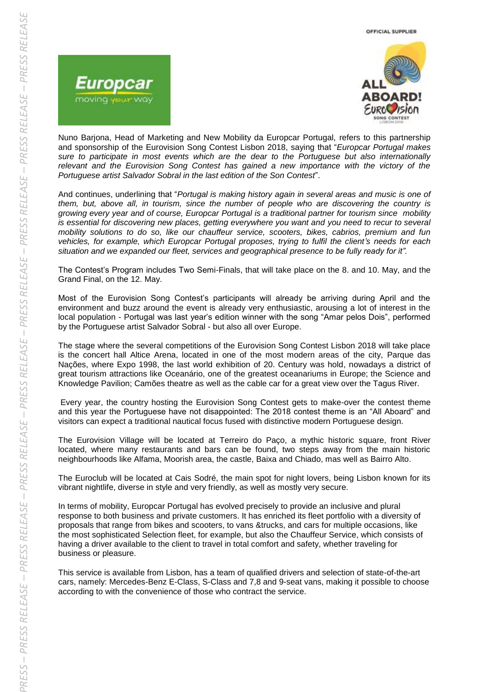

Nuno Barjona, Head of Marketing and New Mobility da Europcar Portugal, refers to this partnership and sponsorship of the Eurovision Song Contest Lisbon 2018, saying that "*Europcar Portugal makes sure to participate in most events which are the dear to the Portuguese but also internationally relevant and the Eurovision Song Contest has gained a new importance with the victory of the Portuguese artist Salvador Sobral in the last edition of the Son Contest*".

And continues, underlining that "*Portugal is making history again in several areas and music is one of them, but, above all, in tourism, since the number of people who are discovering the country is growing every year and of course, Europcar Portugal is a traditional partner for tourism since mobility is essential for discovering new places, getting everywhere you want and you need to recur to several mobility solutions to do so, like our chauffeur service, scooters, bikes, cabrios, premium and fun vehicles, for example, which Europcar Portugal proposes, trying to fulfil the client's needs for each situation and we expanded our fleet, services and geographical presence to be fully ready for it".*

The Contest's Program includes Two Semi-Finals, that will take place on the 8. and 10. May, and the Grand Final, on the 12. May.

Most of the Eurovision Song Contest's participants will already be arriving during April and the environment and buzz around the event is already very enthusiastic, arousing a lot of interest in the local population - Portugal was last year's edition winner with the song "Amar pelos Dois", performed by the Portuguese artist Salvador Sobral - but also all over Europe.

The stage where the several competitions of the Eurovision Song Contest Lisbon 2018 will take place is the concert hall Altice Arena, located in one of the most modern areas of the city, Parque das Nações, where Expo 1998, the last world exhibition of 20. Century was hold, nowadays a district of great tourism attractions like Oceanário, one of the greatest oceanariums in Europe; the Science and Knowledge Pavilion; Camões theatre as well as the cable car for a great view over the Tagus River.

Every year, the country hosting the Eurovision Song Contest gets to make-over the contest theme and this year the Portuguese have not disappointed: The 2018 contest theme is an "All Aboard" and visitors can expect a traditional nautical focus fused with distinctive modern Portuguese design.

The Eurovision Village will be located at Terreiro do Paço, a mythic historic square, front River located, where many restaurants and bars can be found, two steps away from the main historic neighbourhoods like Alfama, Moorish area, the castle, Baixa and Chiado, mas well as Bairro Alto.

The Euroclub will be located at Cais Sodré, the main spot for night lovers, being Lisbon known for its vibrant nightlife, diverse in style and very friendly, as well as mostly very secure.

In terms of mobility, Europcar Portugal has evolved precisely to provide an inclusive and plural response to both business and private customers. It has enriched its fleet portfolio with a diversity of proposals that range from bikes and scooters, to vans &trucks, and cars for multiple occasions, like the most sophisticated Selection fleet, for example, but also the Chauffeur Service, which consists of having a driver available to the client to travel in total comfort and safety, whether traveling for business or pleasure.

This service is available from Lisbon, has a team of qualified drivers and selection of state-of-the-art cars, namely: Mercedes-Benz E-Class, S-Class and 7,8 and 9-seat vans, making it possible to choose according to with the convenience of those who contract the service.